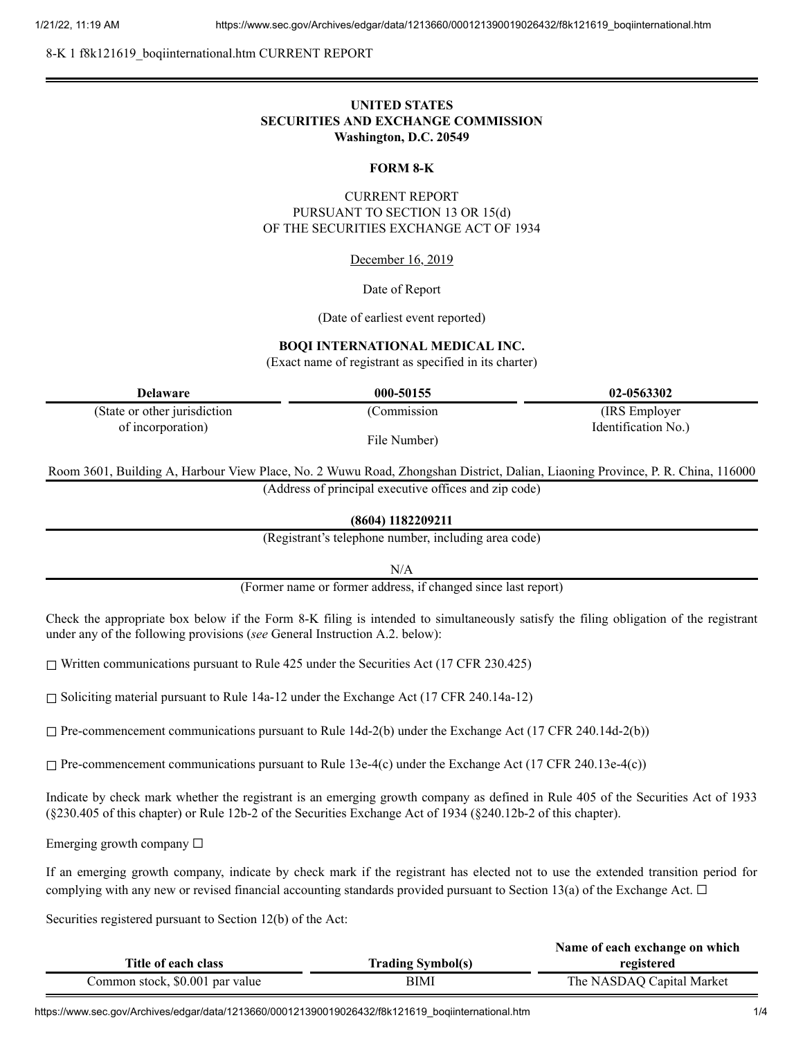8-K 1 f8k121619\_boqiinternational.htm CURRENT REPORT

## **UNITED STATES SECURITIES AND EXCHANGE COMMISSION Washington, D.C. 20549**

#### **FORM 8-K**

## CURRENT REPORT PURSUANT TO SECTION 13 OR 15(d) OF THE SECURITIES EXCHANGE ACT OF 1934

#### December 16, 2019

#### Date of Report

(Date of earliest event reported)

#### **BOQI INTERNATIONAL MEDICAL INC.**

(Exact name of registrant as specified in its charter)

| <b>Delaware</b>              | 000-50155    | 02-0563302          |
|------------------------------|--------------|---------------------|
| (State or other jurisdiction | (Commission) | (IRS Employer)      |
| of incorporation)            |              | Identification No.) |
|                              | File Number) |                     |

Room 3601, Building A, Harbour View Place, No. 2 Wuwu Road, Zhongshan District, Dalian, Liaoning Province, P. R. China, 116000 (Address of principal executive offices and zip code)

**(8604) 1182209211**

(Registrant's telephone number, including area code)

N/A

(Former name or former address, if changed since last report)

Check the appropriate box below if the Form 8-K filing is intended to simultaneously satisfy the filing obligation of the registrant under any of the following provisions (*see* General Instruction A.2. below):

☐ Written communications pursuant to Rule 425 under the Securities Act (17 CFR 230.425)

☐ Soliciting material pursuant to Rule 14a-12 under the Exchange Act (17 CFR 240.14a-12)

 $\Box$  Pre-commencement communications pursuant to Rule 14d-2(b) under the Exchange Act (17 CFR 240.14d-2(b))

 $\Box$  Pre-commencement communications pursuant to Rule 13e-4(c) under the Exchange Act (17 CFR 240.13e-4(c))

Indicate by check mark whether the registrant is an emerging growth company as defined in Rule 405 of the Securities Act of 1933 (§230.405 of this chapter) or Rule 12b-2 of the Securities Exchange Act of 1934 (§240.12b-2 of this chapter).

Emerging growth company  $\Box$ 

If an emerging growth company, indicate by check mark if the registrant has elected not to use the extended transition period for complying with any new or revised financial accounting standards provided pursuant to Section 13(a) of the Exchange Act.  $\Box$ 

Securities registered pursuant to Section 12(b) of the Act:

|                                 |                          | Name of each exchange on which |
|---------------------------------|--------------------------|--------------------------------|
| Title of each class             | <b>Trading Symbol(s)</b> | registered                     |
| Common stock, \$0.001 par value | BIMI                     | The NASDAQ Capital Market      |

https://www.sec.gov/Archives/edgar/data/1213660/000121390019026432/f8k121619\_boqiinternational.htm 1/4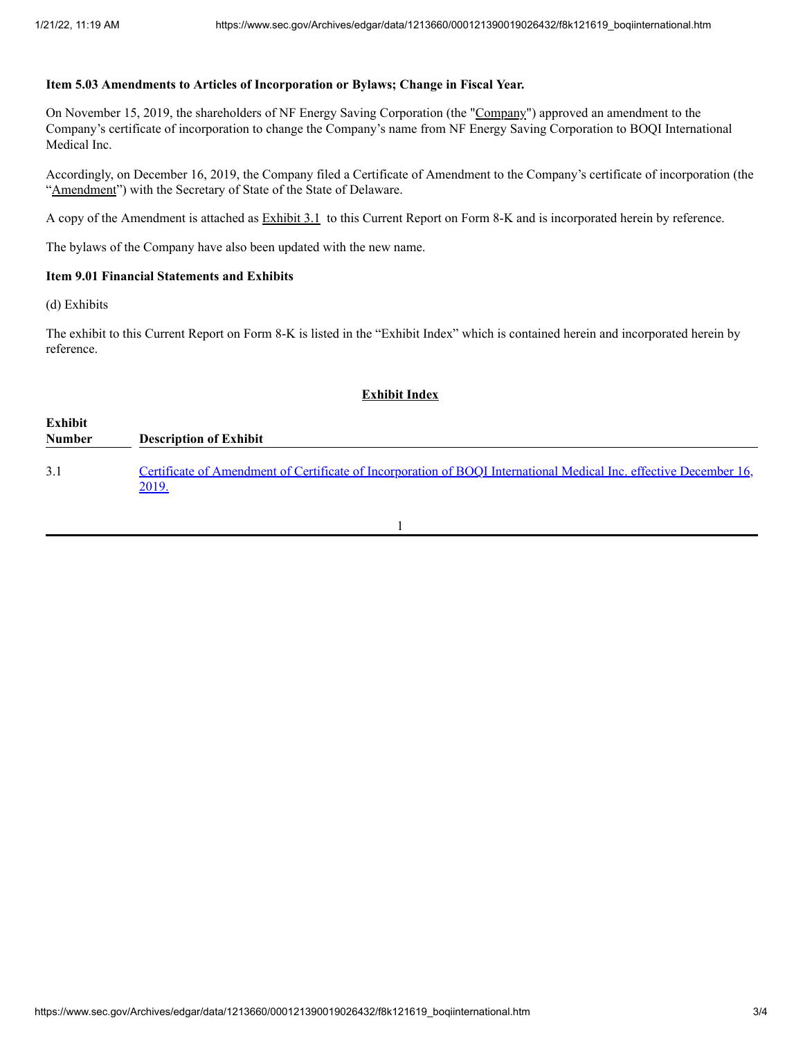#### **Item 5.03 Amendments to Articles of Incorporation or Bylaws; Change in Fiscal Year.**

On November 15, 2019, the shareholders of NF Energy Saving Corporation (the "Company") approved an amendment to the Company's certificate of incorporation to change the Company's name from NF Energy Saving Corporation to BOQI International Medical Inc.

Accordingly, on December 16, 2019, the Company filed a Certificate of Amendment to the Company's certificate of incorporation (the "Amendment") with the Secretary of State of the State of Delaware.

A copy of the Amendment is attached as Exhibit 3.1 to this Current Report on Form 8-K and is incorporated herein by reference.

The bylaws of the Company have also been updated with the new name.

#### **Item 9.01 Financial Statements and Exhibits**

(d) Exhibits

The exhibit to this Current Report on Form 8-K is listed in the "Exhibit Index" which is contained herein and incorporated herein by reference.

# **Exhibit Index Exhibit Number Description of Exhibit** 3.1 Certificate of Amendment of Certificate of [Incorporation](https://www.sec.gov/Archives/edgar/data/1213660/000121390019026432/f8k121619ex3-1_boqiintern.htm) of BOQI International Medical Inc. effective December 16, 2019.

1